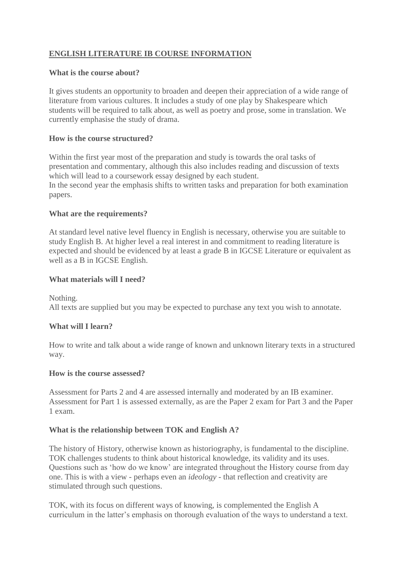# **ENGLISH LITERATURE IB COURSE INFORMATION**

# **What is the course about?**

It gives students an opportunity to broaden and deepen their appreciation of a wide range of literature from various cultures. It includes a study of one play by Shakespeare which students will be required to talk about, as well as poetry and prose, some in translation. We currently emphasise the study of drama.

## **How is the course structured?**

Within the first year most of the preparation and study is towards the oral tasks of presentation and commentary, although this also includes reading and discussion of texts which will lead to a coursework essay designed by each student.

In the second year the emphasis shifts to written tasks and preparation for both examination papers.

### **What are the requirements?**

At standard level native level fluency in English is necessary, otherwise you are suitable to study English B. At higher level a real interest in and commitment to reading literature is expected and should be evidenced by at least a grade B in IGCSE Literature or equivalent as well as a B in IGCSE English.

#### **What materials will I need?**

Nothing.

All texts are supplied but you may be expected to purchase any text you wish to annotate.

# **What will I learn?**

How to write and talk about a wide range of known and unknown literary texts in a structured way.

#### **How is the course assessed?**

Assessment for Parts 2 and 4 are assessed internally and moderated by an IB examiner. Assessment for Part 1 is assessed externally, as are the Paper 2 exam for Part 3 and the Paper 1 exam.

# **What is the relationship between TOK and English A?**

The history of History, otherwise known as historiography, is fundamental to the discipline. TOK challenges students to think about historical knowledge, its validity and its uses. Questions such as 'how do we know' are integrated throughout the History course from day one. This is with a view - perhaps even an *ideology* - that reflection and creativity are stimulated through such questions.

TOK, with its focus on different ways of knowing, is complemented the English A curriculum in the latter's emphasis on thorough evaluation of the ways to understand a text.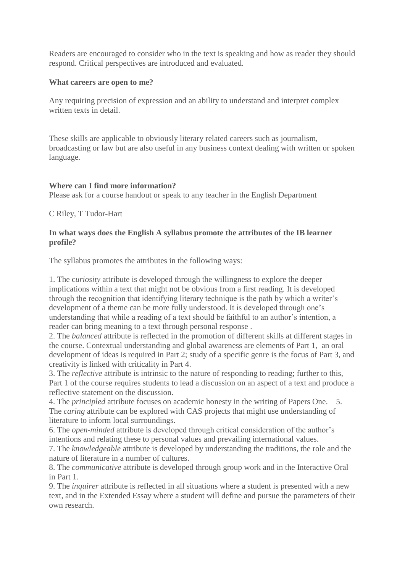Readers are encouraged to consider who in the text is speaking and how as reader they should respond. Critical perspectives are introduced and evaluated.

#### **What careers are open to me?**

Any requiring precision of expression and an ability to understand and interpret complex written texts in detail.

These skills are applicable to obviously literary related careers such as journalism, broadcasting or law but are also useful in any business context dealing with written or spoken language.

### **Where can I find more information?**

Please ask for a course handout or speak to any teacher in the English Department

C Riley, T Tudor-Hart

### **In what ways does the English A syllabus promote the attributes of the IB learner profile?**

The syllabus promotes the attributes in the following ways:

1. The c*uriosity* attribute is developed through the willingness to explore the deeper implications within a text that might not be obvious from a first reading. It is developed through the recognition that identifying literary technique is the path by which a writer's development of a theme can be more fully understood. It is developed through one's understanding that while a reading of a text should be faithful to an author's intention, a reader can bring meaning to a text through personal response .

2. The *balanced* attribute is reflected in the promotion of different skills at different stages in the course. Contextual understanding and global awareness are elements of Part 1, an oral development of ideas is required in Part 2; study of a specific genre is the focus of Part 3, and creativity is linked with criticality in Part 4.

3. The *reflective* attribute is intrinsic to the nature of responding to reading; further to this, Part 1 of the course requires students to lead a discussion on an aspect of a text and produce a reflective statement on the discussion.

4. The *principled* attribute focuses on academic honesty in the writing of Papers One. 5. The *caring* attribute can be explored with CAS projects that might use understanding of literature to inform local surroundings.

6. The *open-minded* attribute is developed through critical consideration of the author's intentions and relating these to personal values and prevailing international values.

7. The *knowledgeable* attribute is developed by understanding the traditions, the role and the nature of literature in a number of cultures.

8. The *communicative* attribute is developed through group work and in the Interactive Oral in Part 1.

9. The *inquirer* attribute is reflected in all situations where a student is presented with a new text, and in the Extended Essay where a student will define and pursue the parameters of their own research.